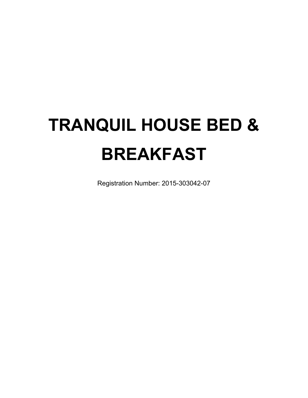# **TRANQUIL HOUSE BED & BREAKFAST**

Registration Number: 2015-303042-07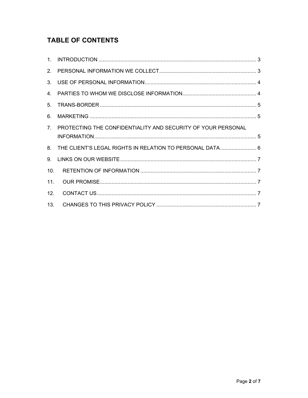# **TABLE OF CONTENTS**

| 2.             |                                                              |  |
|----------------|--------------------------------------------------------------|--|
| 3.             |                                                              |  |
|                |                                                              |  |
| 5.             |                                                              |  |
| 6.             |                                                              |  |
| 7 <sub>1</sub> | PROTECTING THE CONFIDENTIALITY AND SECURITY OF YOUR PERSONAL |  |
|                |                                                              |  |
|                | 8. THE CLIENT'S LEGAL RIGHTS IN RELATION TO PERSONAL DATA 6  |  |
| 9.             |                                                              |  |
| 10.            |                                                              |  |
| 11.            |                                                              |  |
| 12.            |                                                              |  |
| 13.            |                                                              |  |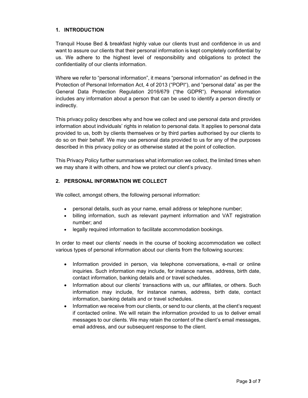#### **1. INTRODUCTION**

Tranquil House Bed & breakfast highly value our clients trust and confidence in us and want to assure our clients that their personal information is kept completely confidential by us. We adhere to the highest level of responsibility and obligations to protect the confidentiality of our clients information.

Where we refer to "personal information", it means "personal information" as defined in the Protection of Personal Information Act, 4 of 2013 ("POPI"), and "personal data" as per the General Data Protection Regulation 2016/679 ("the GDPR"). Personal information includes any information about a person that can be used to identify a person directly or indirectly.

This privacy policy describes why and how we collect and use personal data and provides information about individuals' rights in relation to personal data. It applies to personal data provided to us, both by clients themselves or by third parties authorised by our clients to do so on their behalf. We may use personal data provided to us for any of the purposes described in this privacy policy or as otherwise stated at the point of collection.

This Privacy Policy further summarises what information we collect, the limited times when we may share it with others, and how we protect our client's privacy.

# **2. PERSONAL INFORMATION WE COLLECT**

We collect, amongst others, the following personal information:

- personal details, such as your name, email address or telephone number;
- billing information, such as relevant payment information and VAT registration number; and
- legally required information to facilitate accommodation bookings.

In order to meet our clients' needs in the course of booking accommodation we collect various types of personal information about our clients from the following sources:

- Information provided in person, via telephone conversations, e-mail or online inquiries. Such information may include, for instance names, address, birth date, contact information, banking details and or travel schedules.
- Information about our clients' transactions with us, our affiliates, or others. Such information may include, for instance names, address, birth date, contact information, banking details and or travel schedules.
- Information we receive from our clients, or send to our clients, at the client's request if contacted online. We will retain the information provided to us to deliver email messages to our clients. We may retain the content of the client's email messages, email address, and our subsequent response to the client.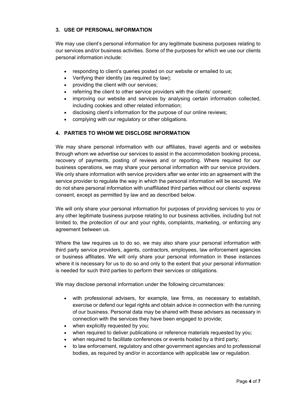#### **3. USE OF PERSONAL INFORMATION**

We may use client's personal information for any legitimate business purposes relating to our services and/or business activities. Some of the purposes for which we use our clients personal information include:

- responding to client's queries posted on our website or emailed to us;
- Verifying their identity (as required by law);
- providing the client with our services;
- referring the client to other service providers with the clients' consent;
- improving our website and services by analysing certain information collected, including cookies and other related information;
- disclosing client's information for the purpose of our online reviews;
- complying with our regulatory or other obligations.

# **4. PARTIES TO WHOM WE DISCLOSE INFORMATION**

We may share personal information with our affiliates, travel agents and or websites through whom we advertise our services to assist in the accommodation booking process, recovery of payments, posting of reviews and or reporting. Where required for our business operations, we may share your personal information with our service providers. We only share information with service providers after we enter into an agreement with the service provider to regulate the way in which the personal information will be secured. We do not share personal information with unaffiliated third parties without our clients' express consent, except as permitted by law and as described below.

We will only share your personal information for purposes of providing services to you or any other legitimate business purpose relating to our business activities, including but not limited to, the protection of our and your rights, complaints, marketing, or enforcing any agreement between us.

Where the law requires us to do so, we may also share your personal information with third party service providers, agents, contractors, employees, law enforcement agencies or business affiliates. We will only share your personal information in these instances where it is necessary for us to do so and only to the extent that your personal information is needed for such third parties to perform their services or obligations.

We may disclose personal information under the following circumstances:

- with professional advisers, for example, law firms, as necessary to establish, exercise or defend our legal rights and obtain advice in connection with the running of our business. Personal data may be shared with these advisers as necessary in connection with the services they have been engaged to provide;
- when explicitly requested by you;
- when required to deliver publications or reference materials requested by you;
- when required to facilitate conferences or events hosted by a third party;
- to law enforcement, regulatory and other government agencies and to professional bodies, as required by and/or in accordance with applicable law or regulation.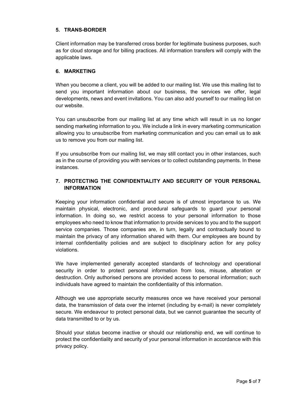### **5. TRANS-BORDER**

Client information may be transferred cross border for legitimate business purposes, such as for cloud storage and for billing practices. All information transfers will comply with the applicable laws.

#### **6. MARKETING**

When you become a client, you will be added to our mailing list. We use this mailing list to send you important information about our business, the services we offer, legal developments, news and event invitations. You can also add yourself to our mailing list on our website.

You can unsubscribe from our mailing list at any time which will result in us no longer sending marketing information to you. We include a link in every marketing communication allowing you to unsubscribe from marketing communication and you can email us to ask us to remove you from our mailing list.

If you unsubscribe from our mailing list, we may still contact you in other instances, such as in the course of providing you with services or to collect outstanding payments. In these instances.

# **7. PROTECTING THE CONFIDENTIALITY AND SECURITY OF YOUR PERSONAL INFORMATION**

Keeping your information confidential and secure is of utmost importance to us. We maintain physical, electronic, and procedural safeguards to guard your personal information. In doing so, we restrict access to your personal information to those employees who need to know that information to provide services to you and to the support service companies. Those companies are, in turn, legally and contractually bound to maintain the privacy of any information shared with them. Our employees are bound by internal confidentiality policies and are subject to disciplinary action for any policy violations.

We have implemented generally accepted standards of technology and operational security in order to protect personal information from loss, misuse, alteration or destruction. Only authorised persons are provided access to personal information; such individuals have agreed to maintain the confidentiality of this information.

Although we use appropriate security measures once we have received your personal data, the transmission of data over the internet (including by e-mail) is never completely secure. We endeavour to protect personal data, but we cannot guarantee the security of data transmitted to or by us.

Should your status become inactive or should our relationship end, we will continue to protect the confidentiality and security of your personal information in accordance with this privacy policy.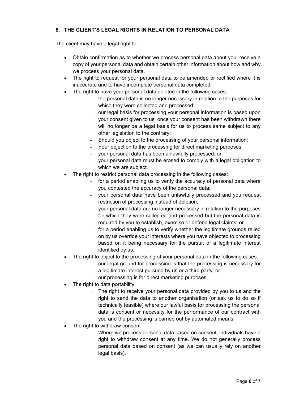## **8. THE CLIENT'S LEGAL RIGHTS IN RELATION TO PERSONAL DATA**

The client may have a legal right to:

- Obtain confirmation as to whether we process personal data about you, receive a copy of your personal data and obtain certain other information about how and why we process your personal data.
- The right to request for your personal data to be amended or rectified where it is inaccurate and to have incomplete personal data completed.
- The right to have your personal data deleted in the following cases:
	- the personal data is no longer necessary in relation to the purposes for which they were collected and processed;
	- our legal basis for processing your personal information is based upon your consent given to us, once your consent has been withdrawn there will no longer be a legal basis for us to process same subject to any other legislation to the contrary;
	- Should you object to the processing of your personal information;
	- Your objection to the processing for direct marketing purposes;
	- your personal data has been unlawfully processed; or
	- your personal data must be erased to comply with a legal obligation to which we are subject.
- The right to restrict personal data processing in the following cases:
	- $-$  for a period enabling us to verify the accuracy of personal data where you contested the accuracy of the personal data;
	- your personal data have been unlawfully processed and you request restriction of processing instead of deletion;
	- your personal data are no longer necessary in relation to the purposes for which they were collected and processed but the personal data is required by you to establish, exercise or defend legal claims; or
	- for a period enabling us to verify whether the legitimate grounds relied on by us override your interests where you have objected to processing based on it being necessary for the pursuit of a legitimate interest identified by us.
- The right to object to the processing of your personal data in the following cases:
	- our legal ground for processing is that the processing is necessary for a legitimate interest pursued by us or a third party; or
	- our processing is for direct marketing purposes.
- The right to data portability
	- The right to receive your personal data provided by you to us and the right to send the data to another organisation (or ask us to do so if technically feasible) where our lawful basis for processing the personal data is consent or necessity for the performance of our contract with you and the processing is carried out by automated means.
- The right to withdraw consent
	- Where we process personal data based on consent, individuals have a right to withdraw consent at any time. We do not generally process personal data based on consent (as we can usually rely on another legal basis).